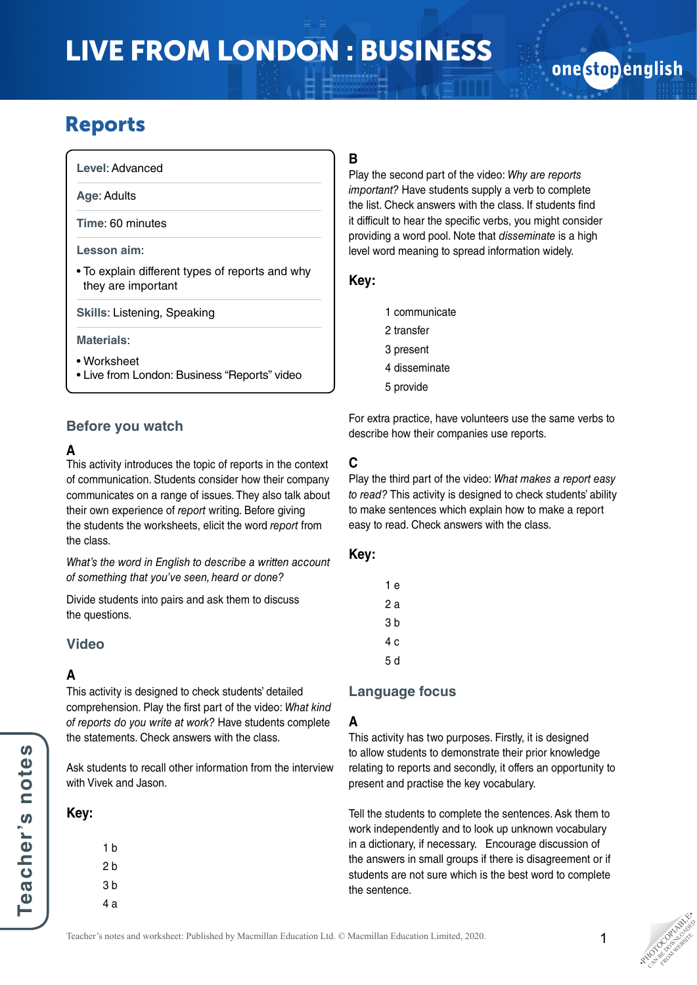# LIVE FROM LONDON : BUSINESS

# onestopenglish

# Reports

**Level**: Advanced

**Age**: Adults

**Time**: 60 minutes

#### **Lesson aim**:

• To explain different types of reports and why they are important

**Skills**: Listening, Speaking

#### **Materials**:

- Worksheet
- Live from London: Business "Reports" video

# **Before you watch**

# **A**

This activity introduces the topic of reports in the context of communication. Students consider how their company communicates on a range of issues. They also talk about their own experience of *report* writing. Before giving the students the worksheets, elicit the word *report* from the class.

*What's the word in English to describe a written account of something that you've seen, heard or done?*

Divide students into pairs and ask them to discuss the questions.

# **Video**

## **A**

This activity is designed to check students' detailed comprehension. Play the first part of the video: *What kind of reports do you write at work?* Have students complete the statements. Check answers with the class.

Ask students to recall other information from the interview with Vivek and Jason.

#### **Key:**

1 b 2 b 3 b 4 a

# **B**

Play the second part of the video: *Why are reports important?* Have students supply a verb to complete the list. Check answers with the class. If students find it difficult to hear the specific verbs, you might consider providing a word pool. Note that *disseminate* is a high level word meaning to spread information widely.

## **Key:**

- 1 communicate
- 2 transfer
- 3 present
- 4 disseminate
- 5 provide

For extra practice, have volunteers use the same verbs to describe how their companies use reports.

# **C**

Play the third part of the video: *What makes a report easy to read?* This activity is designed to check students' ability to make sentences which explain how to make a report easy to read. Check answers with the class.

#### **Key:**

| 1 e |
|-----|
| 2 a |
| 3 b |
| 4 c |
| 5 d |
|     |

## **Language focus**

## **A**

This activity has two purposes. Firstly, it is designed to allow students to demonstrate their prior knowledge relating to reports and secondly, it offers an opportunity to present and practise the key vocabulary.

Tell the students to complete the sentences. Ask them to work independently and to look up unknown vocabulary in a dictionary, if necessary. Encourage discussion of the answers in small groups if there is disagreement or if students are not sure which is the best word to complete the sentence.